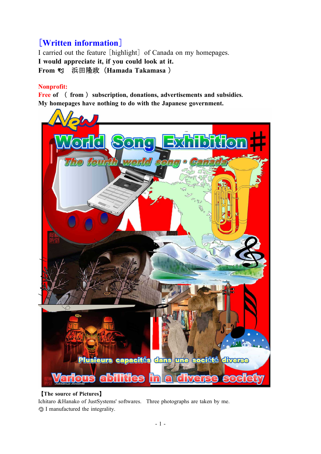# [**Written information**]

I carried out the feature [highlight] of Canada on my homepages. **I would appreciate it, if you could look at it. From** 浜田隆政(**Hamada Takamasa** )

## **Nonprofit:**

**Free of** ( **from** ) **subscription, donations, advertisements and subsidies. My homepages have nothing to do with the Japanese government.**



## 【**The source of Pictures**】 Ichitaro &Hanako of JustSystems' softwares. Three photographs are taken by me.

I manufactured the integrality.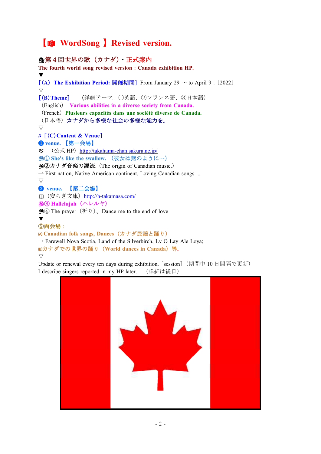# 【 **WordSong** 】**Revised version.**

#### 第4回世界の歌(カナダ)・正式案内 **The fourth world song revised version**:**Canada exhibition HP.** ▼ [(**A**) **The Exhibition Period:** 開催期間] From January 29 ~ to April 9:[2022] ▽ [(**B**)**Theme**] (詳細テーマ。①英語、②フランス語、③日本語) (English) **Various abilities in a diverse society from Canada.** (French)**Plusieurs capacités dans une société diverse de Canada.** (日本語)カナダから多様な社会の多様な能力を。 ▽ ♫[(**C**)**Content & Venue**] ❶ **venue.** 【第一会場】 ◎ (公式 HP) <http://takahama-chan.sakura.ne.jp/> ① **She's like the swallow.** (彼女は燕のように…) ②カナダ音楽の源流. (The origin of Canadian music.)  $\rightarrow$  First nation, Native American continent, Loving Canadian songs ... ▽ ❷ **venue.** 【第二会場】 □ (安らぎ文庫) <http://h-takamasa.com/> ③ **Hallelujah**(ハレルヤ) ④ The prayer(祈り)、Dance me to the end of love ▼ ⑤両会場: **Canadian folk songs, Dances**(カナダ民謡と踊り)  $\rightarrow$  Farewell Nova Scotia, Land of the Silverbirch, Ly O Lay Ale Loya; カナダでの世界の踊り(**World dances in Canada**)等。

Update or renewal every ten days during exhibition. [session] (期間中 10 日間隔で更新) I describe singers reported in my HP later. (詳細は後日)

 $\bigtriangledown$ 

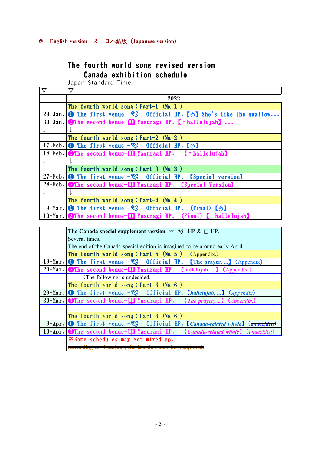## **English version** & 日本語版(**Japanese version**)

## The fourth world song revised version Canada exhibition schedule

Japan Standard Time.

| $\mathbf \nabla$ | ▽                                                                                                     |
|------------------|-------------------------------------------------------------------------------------------------------|
|                  | 2022                                                                                                  |
|                  | The fourth world song: $Part-1$ (No. 1)                                                               |
|                  | 29-Jan. <b>O</b> The first venue $-\mathcal{Q}$ official HP. [ $\mathcal{Q}$ ] She's like the swallow |
|                  | $30$ -Jan. <b>2</b> The second benue- $\Box$ Yasuragi HP. [ $\dag$ hallelujah]                        |
|                  |                                                                                                       |
|                  | The fourth world song: $Part-2$ (No. 2)                                                               |
|                  | 17. Feb. <b>O</b> The first venue $-\mathcal{Q}$ Official HP. $\mathcal{Q}$                           |
|                  | 18-Feb. The second benue-I Yasuragi HP. [thallelujah]                                                 |
|                  |                                                                                                       |
|                  | The fourth world song: $Part-3$ (No. 3)                                                               |
|                  | 27-Feb. <b>O</b> The first venue $-\sqrt[6]{2}$ Official HP. [Special version]                        |
|                  | 28-Feb. <b>@The second benue- The Yasuragi HP.</b> [Special Version]                                  |
|                  |                                                                                                       |
|                  | The fourth world song: $Part-4$ (No. 4)                                                               |
|                  | 9-Mar. <b>O</b> The first venue $-\mathcal{Q}$ Official HP. (Final) $[\mathcal{Q}]$                   |
|                  | $10-Mar.$ The second benue- $\Box$ Yasuragi HP. (Final) [thallelujah]                                 |

| The Canada special supplement version. $\mathcal{F} \mathcal{L}$ HP & $\mathcal{L}$ HP.                                    |
|----------------------------------------------------------------------------------------------------------------------------|
| Several times.                                                                                                             |
| The end of the Canada special edition is imagined to be around early-April.                                                |
| The fourth world song: $Part-5$ (No. 5) (Appendix.)                                                                        |
| 19-Mar. <b>O</b> The first venue $-\mathcal{Q}$ Official HP. [The prayer, ] (Appendix)                                     |
| 20-Mar. <b>2</b> The second benue- $\Box$ Yasuragi HP. [hallelujah, ] (Appendix.)                                          |
| (The following is undecided.)                                                                                              |
| The fourth world song: $Part-6$ (No. 6)                                                                                    |
| 29-Mar. <b>O</b> The first venue $-\sqrt[6]{2}$ Official HP. <i>[hallelujah, ] (Appendix)</i>                              |
| 30-Mar. OThe second benue-Q Yasuragi HP. <i>(The prayer, ) (Appendix.)</i>                                                 |
|                                                                                                                            |
| The fourth world song: $Part-6$ (No. 6)                                                                                    |
| <b>9-Apr. O</b> The first venue $-\frac{dQ}{d}$ Official HP. <i>Canada-related whole</i> $\left(\frac{d\theta}{dt}\right)$ |
| 10-Apr. OThe second benue-Q Yasuragi HP. [Canada-related whole] (undected                                                  |
| <b>Example 5</b> schedules may get mixed up.                                                                               |
| According to situations, the last day may be postpor                                                                       |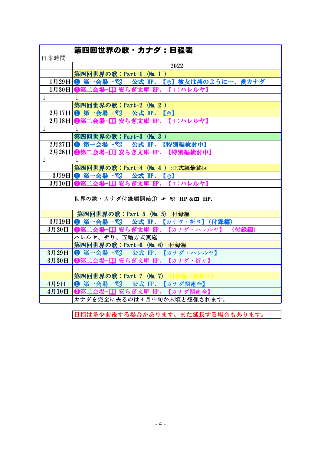| 日本時間         | 第四回世界の歌・カナダ:日程表                            |
|--------------|--------------------------------------------|
|              | 2022                                       |
|              | 第四回世界の歌: Part-1 (No. 1)                    |
|              | 1月29日 ● 第一会場 - 22 公式 HP. 【◎】彼女は燕のように…、愛カナダ |
|              | 1月30日 ❷第二会場−□ 安らぎ文庫 HP. 【†:ハレルヤ】           |
| ↓            |                                            |
|              | 第四回世界の歌: Part-2 (No. 2)                    |
|              | 2月17日 1 第一会場 - <sup>%</sup> 公式 HP. 【◎】     |
|              | 2月18日 ❷第二会場-□ 安らぎ文庫 Ⅲ. 【†:ハレルヤ】            |
| ↓            |                                            |
|              | 第四回世界の歌:Part-3 (No. 3)                     |
|              | 2月27日   ❶ 第一会場 - ♡ 公式 HP. 【特別編検討中】         |
|              | 2月28日 ❷第二会場-□ 安らぎ文庫 Ⅲ. 【特別編検討中】            |
| $\downarrow$ | T                                          |
|              | 第四回世界の歌: Part-4 (No. 4) :正式編最終回            |
|              | 3月9日   ❶ 第一会場 - ♡ 公式 HP. 【◎】               |
|              | 3月10日   ❷第二会場-口 安らぎ文庫 HP. 【†:ハレルヤ】         |
|              | 世界の歌・カナダ付録編開始1 = 2 HP & m HP.              |
|              | 第四回世界の歌:Part-5 (No. 5) :付録編                |
|              | 3月19日 1 第一会場 - 23 公式 HP. 【カナダ・祈り】 (付録編)    |
| 3月20日        | ❷第二会場−□ 安らぎ文庫 Ⅲ.【カナダ・ハレルヤ】<br>(付録編)        |
|              | ハレルヤ、祈り、五輪方式実施                             |
|              | 第四回世界の歌: Part-6 (No. 6) :付録編               |
| 3月29日        | <b>1 第一会場 - 23 公式 HP. 【カナダ・ハレルヤ】</b>       |
| 3月30日        | ❷第二会場-□ 安らぎ文庫 HP. 【カナダ・祈り】                 |
|              |                                            |
|              | 第四回世界の歌:Part-7 (No. 7) :付録編                |
| 4月9日         | <b>1 第一会場 - 22 公式 HP. 【カナダ関連全】</b>         |
| 4月10日        | 2第二会場-□ 安らぎ文庫 HP. 【カナダ関連全】                 |
|              | カナダを完全に去るのは4月中旬か末頃と想像されます。                 |
|              |                                            |

日程は多少前後する場合があります。また延長する場合もあります。